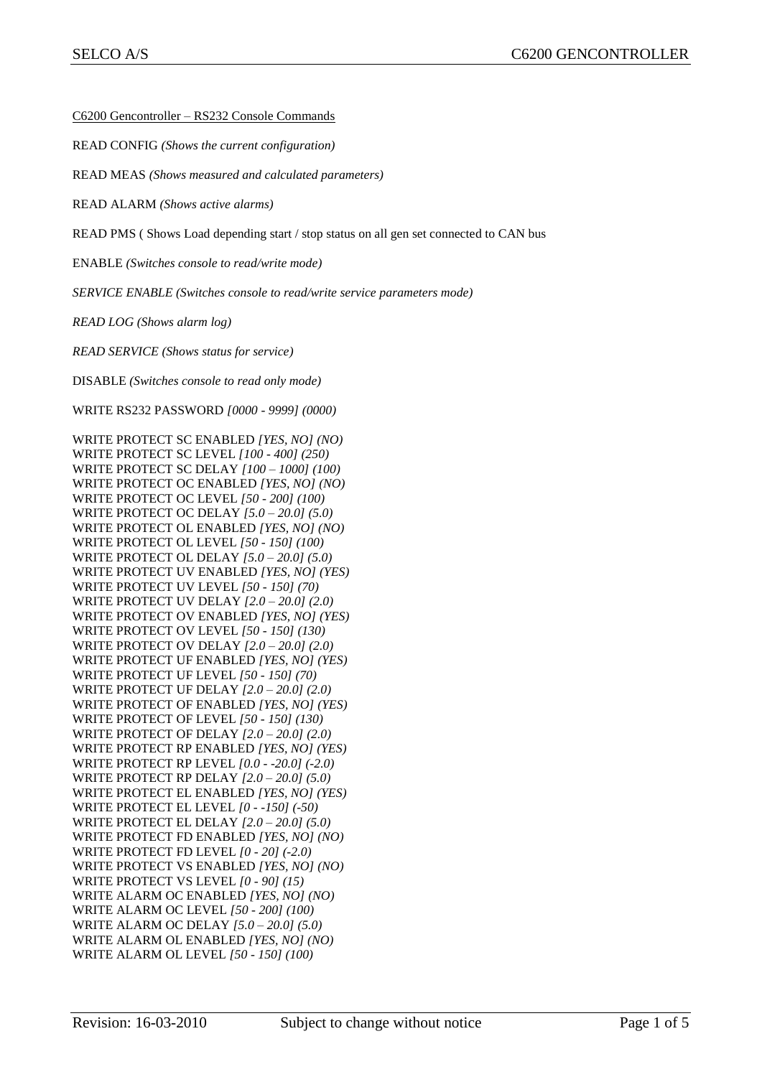C6200 Gencontroller – RS232 Console Commands

READ CONFIG *(Shows the current configuration)*

READ MEAS *(Shows measured and calculated parameters)*

READ ALARM *(Shows active alarms)*

READ PMS ( Shows Load depending start / stop status on all gen set connected to CAN bus

ENABLE *(Switches console to read/write mode)*

*SERVICE ENABLE (Switches console to read/write service parameters mode)*

*READ LOG (Shows alarm log)*

*READ SERVICE (Shows status for service)*

DISABLE *(Switches console to read only mode)*

WRITE RS232 PASSWORD *[0000 - 9999] (0000)*

WRITE PROTECT SC ENABLED *[YES, NO] (NO)* WRITE PROTECT SC LEVEL *[100 - 400] (250)* WRITE PROTECT SC DELAY *[100 – 1000] (100)* WRITE PROTECT OC ENABLED *[YES, NO] (NO)* WRITE PROTECT OC LEVEL *[50 - 200] (100)* WRITE PROTECT OC DELAY *[5.0 – 20.0] (5.0)* WRITE PROTECT OL ENABLED *[YES, NO] (NO)* WRITE PROTECT OL LEVEL *[50 - 150] (100)* WRITE PROTECT OL DELAY *[5.0 – 20.0] (5.0)* WRITE PROTECT UV ENABLED *[YES, NO] (YES)* WRITE PROTECT UV LEVEL *[50 - 150] (70)* WRITE PROTECT UV DELAY *[2.0 – 20.0] (2.0)* WRITE PROTECT OV ENABLED *[YES, NO] (YES)* WRITE PROTECT OV LEVEL *[50 - 150] (130)* WRITE PROTECT OV DELAY *[2.0 – 20.0] (2.0)* WRITE PROTECT UF ENABLED *[YES, NO] (YES)* WRITE PROTECT UF LEVEL *[50 - 150] (70)* WRITE PROTECT UF DELAY *[2.0 – 20.0] (2.0)* WRITE PROTECT OF ENABLED *[YES, NO] (YES)* WRITE PROTECT OF LEVEL *[50 - 150] (130)* WRITE PROTECT OF DELAY *[2.0 – 20.0] (2.0)* WRITE PROTECT RP ENABLED *[YES, NO] (YES)* WRITE PROTECT RP LEVEL *[0.0 - -20.0] (-2.0)* WRITE PROTECT RP DELAY *[2.0 – 20.0] (5.0)* WRITE PROTECT EL ENABLED *[YES, NO] (YES)* WRITE PROTECT EL LEVEL *[0 - -150] (-50)* WRITE PROTECT EL DELAY *[2.0 – 20.0] (5.0)* WRITE PROTECT FD ENABLED *[YES, NO] (NO)* WRITE PROTECT FD LEVEL *[0 - 20] (-2.0)* WRITE PROTECT VS ENABLED *[YES, NO] (NO)* WRITE PROTECT VS LEVEL *[0 - 90] (15)* WRITE ALARM OC ENABLED *[YES, NO] (NO)* WRITE ALARM OC LEVEL *[50 - 200] (100)* WRITE ALARM OC DELAY *[5.0 – 20.0] (5.0)* WRITE ALARM OL ENABLED *[YES, NO] (NO)* WRITE ALARM OL LEVEL *[50 - 150] (100)*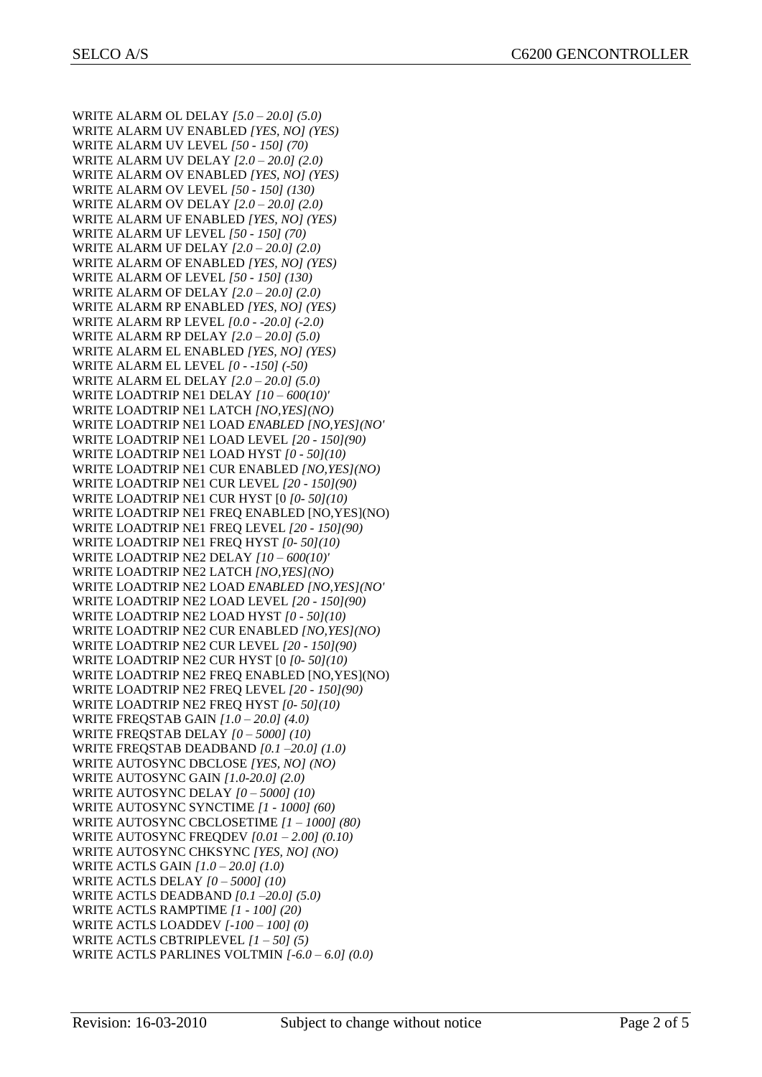WRITE ALARM OL DELAY *[5.0 – 20.0] (5.0)* WRITE ALARM UV ENABLED *[YES, NO] (YES)* WRITE ALARM UV LEVEL *[50 - 150] (70)* WRITE ALARM UV DELAY *[2.0 – 20.0] (2.0)* WRITE ALARM OV ENABLED *[YES, NO] (YES)* WRITE ALARM OV LEVEL *[50 - 150] (130)* WRITE ALARM OV DELAY *[2.0 – 20.0] (2.0)* WRITE ALARM UF ENABLED *[YES, NO] (YES)* WRITE ALARM UF LEVEL *[50 - 150] (70)* WRITE ALARM UF DELAY *[2.0 – 20.0] (2.0)* WRITE ALARM OF ENABLED *[YES, NO] (YES)* WRITE ALARM OF LEVEL *[50 - 150] (130)* WRITE ALARM OF DELAY *[2.0 – 20.0] (2.0)* WRITE ALARM RP ENABLED *[YES, NO] (YES)* WRITE ALARM RP LEVEL *[0.0 - -20.0] (-2.0)* WRITE ALARM RP DELAY *[2.0 – 20.0] (5.0)* WRITE ALARM EL ENABLED *[YES, NO] (YES)* WRITE ALARM EL LEVEL *[0 - -150] (-50)* WRITE ALARM EL DELAY *[2.0 – 20.0] (5.0)* WRITE LOADTRIP NE1 DELAY *[10 – 600(10)'* WRITE LOADTRIP NE1 LATCH *[NO,YES](NO)* WRITE LOADTRIP NE1 LOAD *ENABLED [NO,YES](NO'* WRITE LOADTRIP NE1 LOAD LEVEL *[20 - 150](90)* WRITE LOADTRIP NE1 LOAD HYST *[0 - 50](10)* WRITE LOADTRIP NE1 CUR ENABLED *[NO,YES](NO)* WRITE LOADTRIP NE1 CUR LEVEL *[20 - 150](90)* WRITE LOADTRIP NE1 CUR HYST [0 *[0- 50](10)* WRITE LOADTRIP NE1 FREQ ENABLED [NO,YES](NO) WRITE LOADTRIP NE1 FREQ LEVEL *[20 - 150](90)* WRITE LOADTRIP NE1 FREQ HYST *[0- 50](10)* WRITE LOADTRIP NE2 DELAY *[10 – 600(10)'* WRITE LOADTRIP NE2 LATCH *[NO,YES](NO)* WRITE LOADTRIP NE2 LOAD *ENABLED [NO,YES](NO'* WRITE LOADTRIP NE2 LOAD LEVEL *[20 - 150](90)* WRITE LOADTRIP NE2 LOAD HYST *[0 - 50](10)* WRITE LOADTRIP NE2 CUR ENABLED *[NO,YES](NO)* WRITE LOADTRIP NE2 CUR LEVEL *[20 - 150](90)* WRITE LOADTRIP NE2 CUR HYST [0 *[0- 50](10)* WRITE LOADTRIP NE2 FREQ ENABLED [NO,YES](NO) WRITE LOADTRIP NE2 FREQ LEVEL *[20 - 150](90)* WRITE LOADTRIP NE2 FREQ HYST *[0- 50](10)* WRITE FREQSTAB GAIN *[1.0 – 20.0] (4.0)* WRITE FREQSTAB DELAY *[0 – 5000] (10)* WRITE FREQSTAB DEADBAND *[0.1 –20.0] (1.0)* WRITE AUTOSYNC DBCLOSE *[YES, NO] (NO)* WRITE AUTOSYNC GAIN *[1.0-20.0] (2.0)* WRITE AUTOSYNC DELAY *[0 – 5000] (10)* WRITE AUTOSYNC SYNCTIME *[1 - 1000] (60)* WRITE AUTOSYNC CBCLOSETIME *[1 – 1000] (80)* WRITE AUTOSYNC FREQDEV *[0.01 – 2.00] (0.10)* WRITE AUTOSYNC CHKSYNC *[YES, NO] (NO)* WRITE ACTLS GAIN *[1.0 – 20.0] (1.0)* WRITE ACTLS DELAY *[0 – 5000] (10)* WRITE ACTLS DEADBAND *[0.1 –20.0] (5.0)* WRITE ACTLS RAMPTIME *[1 - 100] (20)* WRITE ACTLS LOADDEV *[-100 – 100] (0)* WRITE ACTLS CBTRIPLEVEL *[1 – 50] (5)* WRITE ACTLS PARLINES VOLTMIN *[-6.0 – 6.0] (0.0)*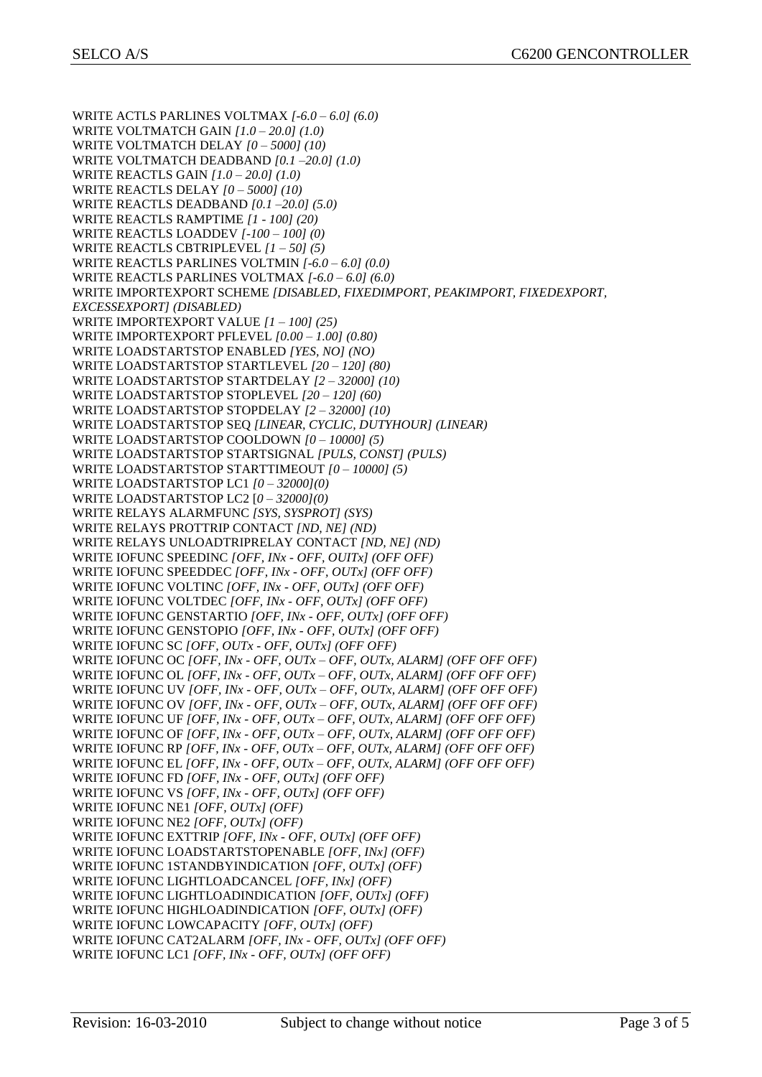WRITE ACTLS PARLINES VOLTMAX *[-6.0 – 6.0] (6.0)* WRITE VOLTMATCH GAIN *[1.0 – 20.0] (1.0)* WRITE VOLTMATCH DELAY *[0 – 5000] (10)* WRITE VOLTMATCH DEADBAND *[0.1 –20.0] (1.0)* WRITE REACTLS GAIN *[1.0 – 20.0] (1.0)* WRITE REACTLS DELAY *[0 – 5000] (10)* WRITE REACTLS DEADBAND *[0.1 –20.0] (5.0)* WRITE REACTLS RAMPTIME *[1 - 100] (20)* WRITE REACTLS LOADDEV *[-100 – 100] (0)* WRITE REACTLS CBTRIPLEVEL *[1 – 50] (5)* WRITE REACTLS PARLINES VOLTMIN *[-6.0 – 6.0] (0.0)* WRITE REACTLS PARLINES VOLTMAX *[-6.0 – 6.0] (6.0)* WRITE IMPORTEXPORT SCHEME *[DISABLED, FIXEDIMPORT, PEAKIMPORT, FIXEDEXPORT, EXCESSEXPORT] (DISABLED)* WRITE IMPORTEXPORT VALUE *[1 – 100] (25)* WRITE IMPORTEXPORT PFLEVEL *[0.00 – 1.00] (0.80)* WRITE LOADSTARTSTOP ENABLED *[YES, NO] (NO)* WRITE LOADSTARTSTOP STARTLEVEL *[20 – 120] (80)* WRITE LOADSTARTSTOP STARTDELAY *[2 – 32000] (10)* WRITE LOADSTARTSTOP STOPLEVEL *[20 – 120] (60)* WRITE LOADSTARTSTOP STOPDELAY *[2 – 32000] (10)* WRITE LOADSTARTSTOP SEQ *[LINEAR, CYCLIC, DUTYHOUR] (LINEAR)* WRITE LOADSTARTSTOP COOLDOWN *[0 – 10000] (5)* WRITE LOADSTARTSTOP STARTSIGNAL *[PULS, CONST] (PULS)* WRITE LOADSTARTSTOP STARTTIMEOUT *[0 – 10000] (5)* WRITE LOADSTARTSTOP LC1 *[0 – 32000](0)* WRITE LOADSTARTSTOP LC2 [*0 – 32000](0)* WRITE RELAYS ALARMFUNC *[SYS, SYSPROT] (SYS)* WRITE RELAYS PROTTRIP CONTACT *[ND, NE] (ND)* WRITE RELAYS UNLOADTRIPRELAY CONTACT *[ND, NE] (ND)* WRITE IOFUNC SPEEDINC *[OFF, INx - OFF, OUITx] (OFF OFF)* WRITE IOFUNC SPEEDDEC *[OFF, INx - OFF, OUTx] (OFF OFF)* WRITE IOFUNC VOLTINC *[OFF, INx - OFF, OUTx] (OFF OFF)* WRITE IOFUNC VOLTDEC *[OFF, INx - OFF, OUTx] (OFF OFF)* WRITE IOFUNC GENSTARTIO *[OFF, INx - OFF, OUTx] (OFF OFF)* WRITE IOFUNC GENSTOPIO *[OFF, INx - OFF, OUTx] (OFF OFF)* WRITE IOFUNC SC *[OFF, OUTx - OFF, OUTx] (OFF OFF)* WRITE IOFUNC OC *[OFF, INx - OFF, OUTx – OFF, OUTx, ALARM] (OFF OFF OFF)* WRITE IOFUNC OL *[OFF, INx - OFF, OUTx – OFF, OUTx, ALARM] (OFF OFF OFF)* WRITE IOFUNC UV *[OFF, INx - OFF, OUTx – OFF, OUTx, ALARM] (OFF OFF OFF)* WRITE IOFUNC OV *[OFF, INx - OFF, OUTx – OFF, OUTx, ALARM] (OFF OFF OFF)* WRITE IOFUNC UF *[OFF, INx - OFF, OUTx – OFF, OUTx, ALARM] (OFF OFF OFF)* WRITE IOFUNC OF *[OFF, INx - OFF, OUTx – OFF, OUTx, ALARM] (OFF OFF OFF)* WRITE IOFUNC RP *[OFF, INx - OFF, OUTx – OFF, OUTx, ALARM] (OFF OFF OFF)* WRITE IOFUNC EL *[OFF, INx - OFF, OUTx – OFF, OUTx, ALARM] (OFF OFF OFF)* WRITE IOFUNC FD *[OFF, INx - OFF, OUTx] (OFF OFF)* WRITE IOFUNC VS *[OFF, INx - OFF, OUTx] (OFF OFF)* WRITE IOFUNC NE1 *[OFF, OUTx] (OFF)* WRITE IOFUNC NE2 *[OFF, OUTx] (OFF)* WRITE IOFUNC EXTTRIP *[OFF, INx - OFF, OUTx] (OFF OFF)* WRITE IOFUNC LOADSTARTSTOPENABLE *[OFF, INx] (OFF)* WRITE IOFUNC 1STANDBYINDICATION *[OFF, OUTx] (OFF)* WRITE IOFUNC LIGHTLOADCANCEL *[OFF, INx] (OFF)* WRITE IOFUNC LIGHTLOADINDICATION *[OFF, OUTx] (OFF)* WRITE IOFUNC HIGHLOADINDICATION *[OFF, OUTx] (OFF)* WRITE IOFUNC LOWCAPACITY *[OFF, OUTx] (OFF)* WRITE IOFUNC CAT2ALARM *[OFF, INx - OFF, OUTx] (OFF OFF)* WRITE IOFUNC LC1 *[OFF, INx - OFF, OUTx] (OFF OFF)*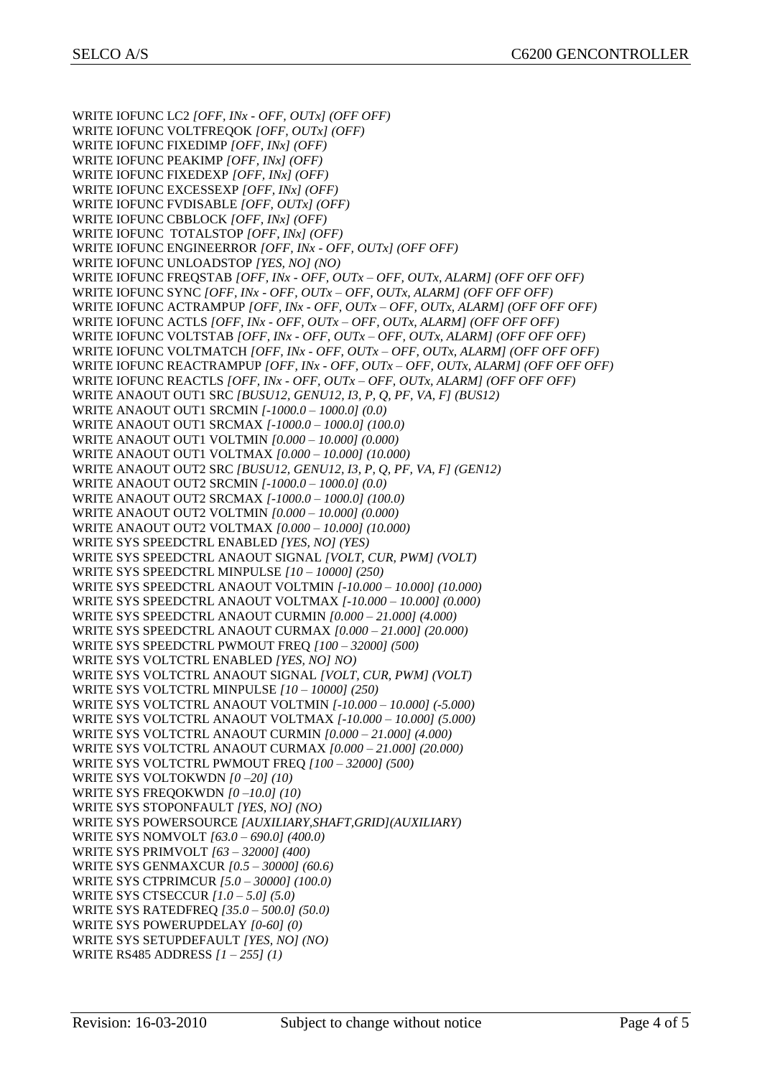WRITE IOFUNC LC2 *[OFF, INx - OFF, OUTx] (OFF OFF)* WRITE IOFUNC VOLTFREQOK *[OFF, OUTx] (OFF)* WRITE IOFUNC FIXEDIMP *[OFF, INx] (OFF)* WRITE IOFUNC PEAKIMP *[OFF, INx] (OFF)* WRITE IOFUNC FIXEDEXP *[OFF, INx] (OFF)* WRITE IOFUNC EXCESSEXP *[OFF, INx] (OFF)* WRITE IOFUNC FVDISABLE *[OFF, OUTx] (OFF)* WRITE IOFUNC CBBLOCK *[OFF, INx] (OFF)* WRITE IOFUNC TOTALSTOP *[OFF, INx] (OFF)* WRITE IOFUNC ENGINEERROR *[OFF, INx - OFF, OUTx] (OFF OFF)* WRITE IOFUNC UNLOADSTOP *[YES, NO] (NO)* WRITE IOFUNC FREQSTAB *[OFF, INx - OFF, OUTx – OFF, OUTx, ALARM] (OFF OFF OFF)* WRITE IOFUNC SYNC *[OFF, INx - OFF, OUTx – OFF, OUTx, ALARM] (OFF OFF OFF)* WRITE IOFUNC ACTRAMPUP *[OFF, INx - OFF, OUTx – OFF, OUTx, ALARM] (OFF OFF OFF)* WRITE IOFUNC ACTLS *[OFF, INx - OFF, OUTx – OFF, OUTx, ALARM] (OFF OFF OFF)* WRITE IOFUNC VOLTSTAB *[OFF, INx - OFF, OUTx – OFF, OUTx, ALARM] (OFF OFF OFF)* WRITE IOFUNC VOLTMATCH *[OFF, INx - OFF, OUTx – OFF, OUTx, ALARM] (OFF OFF OFF)* WRITE IOFUNC REACTRAMPUP *[OFF, INx - OFF, OUTx – OFF, OUTx, ALARM] (OFF OFF OFF)* WRITE IOFUNC REACTLS *[OFF, INx - OFF, OUTx – OFF, OUTx, ALARM] (OFF OFF OFF)* WRITE ANAOUT OUT1 SRC *[BUSU12, GENU12, I3, P, Q, PF, VA, F] (BUS12)* WRITE ANAOUT OUT1 SRCMIN *[-1000.0 – 1000.0] (0.0)* WRITE ANAOUT OUT1 SRCMAX *[-1000.0 – 1000.0] (100.0)* WRITE ANAOUT OUT1 VOLTMIN *[0.000 – 10.000] (0.000)* WRITE ANAOUT OUT1 VOLTMAX *[0.000 – 10.000] (10.000)* WRITE ANAOUT OUT2 SRC *[BUSU12, GENU12, I3, P, Q, PF, VA, F] (GEN12)* WRITE ANAOUT OUT2 SRCMIN *[-1000.0 – 1000.0] (0.0)* WRITE ANAOUT OUT2 SRCMAX *[-1000.0 – 1000.0] (100.0)* WRITE ANAOUT OUT2 VOLTMIN *[0.000 – 10.000] (0.000)* WRITE ANAOUT OUT2 VOLTMAX *[0.000 – 10.000] (10.000)* WRITE SYS SPEEDCTRL ENABLED *[YES, NO] (YES)* WRITE SYS SPEEDCTRL ANAOUT SIGNAL *[VOLT, CUR, PWM] (VOLT)* WRITE SYS SPEEDCTRL MINPULSE *[10 – 10000] (250)* WRITE SYS SPEEDCTRL ANAOUT VOLTMIN *[-10.000 – 10.000] (10.000)* WRITE SYS SPEEDCTRL ANAOUT VOLTMAX *[-10.000 – 10.000] (0.000)* WRITE SYS SPEEDCTRL ANAOUT CURMIN *[0.000 – 21.000] (4.000)* WRITE SYS SPEEDCTRL ANAOUT CURMAX *[0.000 – 21.000] (20.000)* WRITE SYS SPEEDCTRL PWMOUT FREQ *[100 – 32000] (500)* WRITE SYS VOLTCTRL ENABLED *[YES, NO] NO)* WRITE SYS VOLTCTRL ANAOUT SIGNAL *[VOLT, CUR, PWM] (VOLT)* WRITE SYS VOLTCTRL MINPULSE *[10 – 10000] (250)* WRITE SYS VOLTCTRL ANAOUT VOLTMIN *[-10.000 – 10.000] (-5.000)* WRITE SYS VOLTCTRL ANAOUT VOLTMAX *[-10.000 – 10.000] (5.000)* WRITE SYS VOLTCTRL ANAOUT CURMIN *[0.000 – 21.000] (4.000)* WRITE SYS VOLTCTRL ANAOUT CURMAX *[0.000 – 21.000] (20.000)* WRITE SYS VOLTCTRL PWMOUT FREQ *[100 – 32000] (500)* WRITE SYS VOLTOKWDN *[0 –20] (10)* WRITE SYS FREQOKWDN *[0 –10.0] (10)* WRITE SYS STOPONFAULT *[YES, NO] (NO)* WRITE SYS POWERSOURCE *[AUXILIARY,SHAFT,GRID](AUXILIARY)* WRITE SYS NOMVOLT *[63.0 – 690.0] (400.0)* WRITE SYS PRIMVOLT *[63 – 32000] (400)* WRITE SYS GENMAXCUR *[0.5 – 30000] (60.6)* WRITE SYS CTPRIMCUR *[5.0 – 30000] (100.0)* WRITE SYS CTSECCUR *[1.0 – 5.0] (5.0)* WRITE SYS RATEDFREQ *[35.0 – 500.0] (50.0)* WRITE SYS POWERUPDELAY *[0-60] (0)* WRITE SYS SETUPDEFAULT *[YES, NO] (NO)* WRITE RS485 ADDRESS *[1 – 255] (1)*